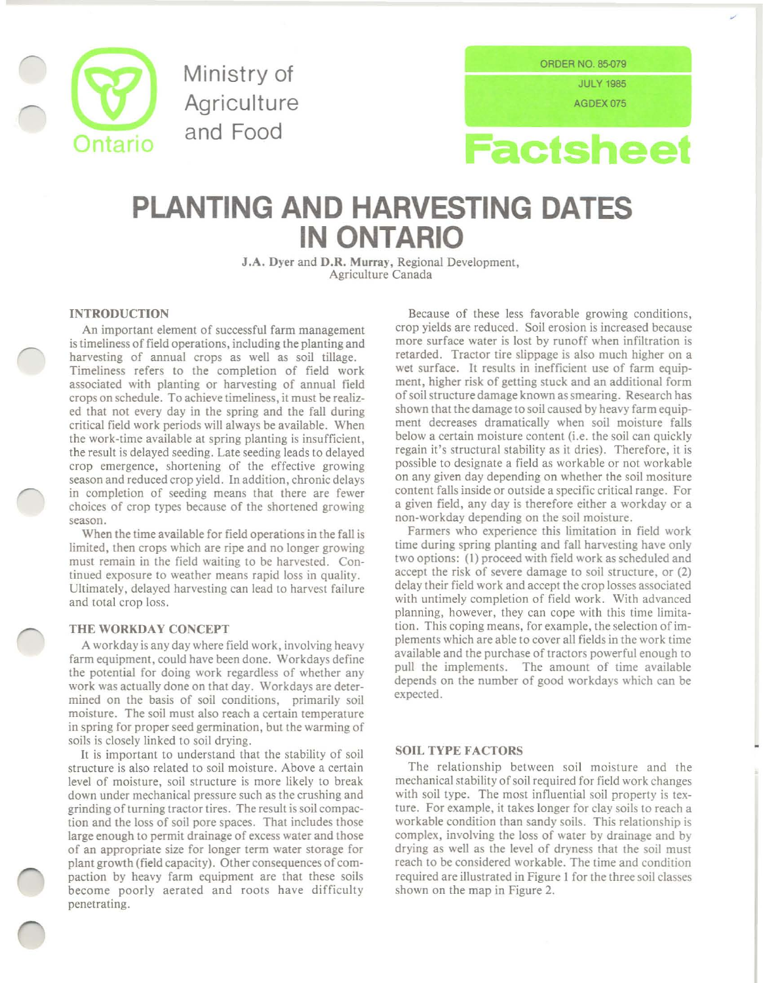

Ministry of **Agriculture** and Food

ORDER NO. 85-079 JULY 1985

AGDEX075



# **PLANTING AND HARVESTING DATES IN ONTARIO**

J.A. Dyer and D.R. Murray, Regional Development, Agriculture Canada

# INTRODUCTION

An important element of successful farm management is timeliness of field operations, including the planting and harvesting of annual crops as well as soil tillage. Timeliness refers to the completion of field work associated with planting or harvesting of annual field crops on schedule. To achieve timeliness, it must be realized that not every day in the spring and the fall during critical field work periods will always be available. When the work-time available at spring planting is insufficient, the result is delayed seeding. Late seeding leads to delayed crop emergence, shortening of the effective growing season and reduced crop yield. In addition, chronic delays in completion of seeding means that there are fewer choices of crop types because of the shortened growing season.

When the time available for field operations in the fall is limited, then crops which are ripe and no longer growing must remain in the field waiting to be harvested. Continued exposure to weather means rapid loss in quality. Ultimately, delayed harvesting can lead to harvest failure and total crop loss.

#### THE WORKDAY CONCEPT

A workday is any day where field work, involving heavy farm equipment, could have been done. Workdays define the potential for doing work regardless of whether any work was actually done on that day. Workdays are determined on the basis of soil conditions, primarily soil moisture. The soil must also reach a certain temperature in spring for proper seed germination, but the warming of soils is closely linked to soil drying.

It is important to understand that the stability of soil structure is also related to soil moisture. Above a certain level of moisture, soil structure is more likely to break down under mechanical pressure such as the crushing and grinding of turning tractor tires. The result is soil compaction and the loss of soil pore spaces. That includes those large enough to permit drainage of excess water and those of an appropriate size for longer term water storage for plant growth (field capacity). Other consequences of compaction by heavy farm equipment are that these soils become poorly aerated and roots have difficulty penetrating.

Because of these less favorable growing conditions, crop yields are reduced. Soil erosion is increased because more surface water is lost by runoff when infiltration is retarded. Tractor tire slippage is also much higher on a wet surface. It results in inefficient use of farm equipment, higher risk of getting stuck and an additional form of soil structure damage known as smearing. Research has shown that the damage to soil caused by heavy farm equipment decreases dramatically when soil moisture falls below a certain moisture content (i.e. the soil can quickly regain it's structural stability as it dries). Therefore, it is possible to designate a field as workable or not workable on any given day depending on whether the soil mositure content falls inside or outside a specific critical range. For a given field, any day is therefore either a workday or a non-workday depending on the soil moisture.

Farmers who experience this limitation in field work time during spring planting and fall harvesting have only two options: (I) proceed with field work as scheduled and accept the risk of severe damage to soil structure, or (2) delay their field work and accept the crop losses associated with untimely completion of field work. With advanced planning, however, they can cope with this time limitation. This coping means, for example, the selection of implements which are able to cover all fields in the work time available and the purchase of tractors powerful enough to pull the implements. The amount of time available depends on the number of good workdays which can be expected.

### SOIL TYPE FACTORS

The relationship between soil moisture and the mechanical stability of soil required for field work changes with soil type. The most influential soil property is texture. For example, it takes longer for clay soils to reach a workable condition than sandy soils. This relationship is complex, involving the loss of water by drainage and by drying as well as the level of dryness that the soil must reach to be considered workable. The time and condition required are illustrated in Figure I for the three soil classes shown on the map in Figure 2.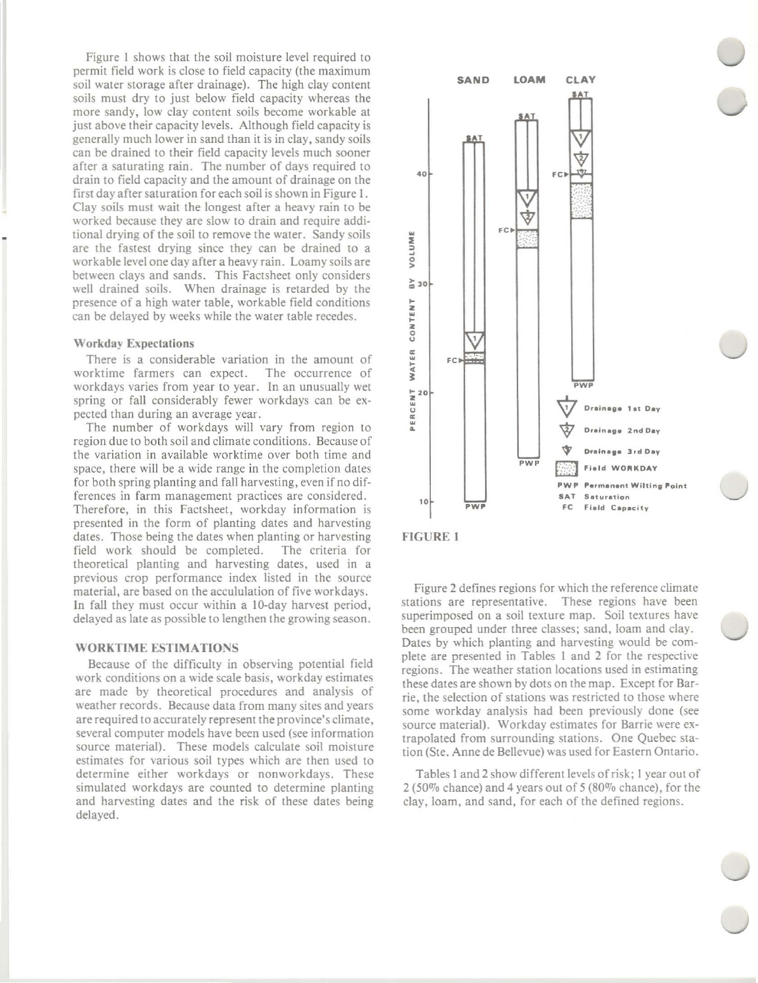Figure 1 shows that the soil moisture level required to permit field work is close to field capacity (the maximum soil water storage after drainage). The high clay content soils must dry to just below field capacity whereas the **more sandy, low clay content soils become workable at** just above their capacity levels. Although field capacity is generally much lower in sand than it is in clay, sandy soils can be drained to their field capacity levels much sooner after a saturating rain. The number of days required to drain to field capacity and the amount of drainage on the first day after saturation for each soil is shown in Figure I. Clay soils must wait the longest after a heavy rain to be **worked because they are slow to drain and require addi**tional drying of the soil to remove the water. Sandy soils are the fastest drying since they can be drained to a workable level one day after a heavy rain. Loamy soils are between clays and sands. This Factsheet only considers well drained soils. When drainage is retarded by the presence of a high water table, workable field conditions can be delayed by weeks while the water table recedes.

#### Workday Expectations

**There** is a considerable variation in the amount of **worktime farmers can expect. The occurrence of workdays varies from year to year. In an unusually wet** spring or fall considerably fewer workdays can be ex**pected than during an average year.**

The number of workdays will vary from region to region due to both soil and climate conditions. Because of **the variation in available worktime over both time and** space, there will be a wide range in the completion dates for both spring planting and fall harvesting, even if no dif**ferences in farm management practices are considered. Therefore, in this Factsheet, workday information is** presented in the form of planting dates and harvesting dates. Those being the dates when planting or harvesting field work should be completed. The criteria for **theoretical planting and harvesting dates, used in a previous crop performance index listed in the source material, are based on the accululation of five workdays.** In fall they must occur within a 10-day harvest period, delayed as late as possible to lengthen the growing season.

## **WORKTIME** ESTIMATIONS

Because of the difficulty in observing potential field **work conditions on a wide scale basis, workday estimates** are made by theoretical procedures and analysis of **weather records. Because data from many sites and years are required to accurately represent the province's climate, several computer models have been used (see information source material). These models calculate soil moisture estimates for various soil types which are then used to** determine either workdays or nonworkdays. These **simulated workdays are counted to determine planting** and harvesting dates and the risk of these dates being delayed.





**Figure 2 defines regions for which the reference climate stations are representative. These regions have been superimposed on a soil texture map. Soil textures have** been grouped under three classes; sand, loam and clay. Dates by which planting and harvesting would be complete are presented in Tables 1 and 2 for the respective **regions. The weather station locations used in estimating** these dates are shown by dots on the map. Except for Bar**rie, the selection of stations was restricted to those where** some workday analysis had been previously done (see **source material). Workday estimates for Barrie were extrapolated from surrounding stations. One Quebec sta**tion (Ste. Anne de Bellevue) was used for Eastern Ontario.

Tables I and 2 show different levels of risk; I year out of 2 (50% chance) and 4 years out of 5 (80% chance), for the clay, loam, and sand, for each of the defined regions.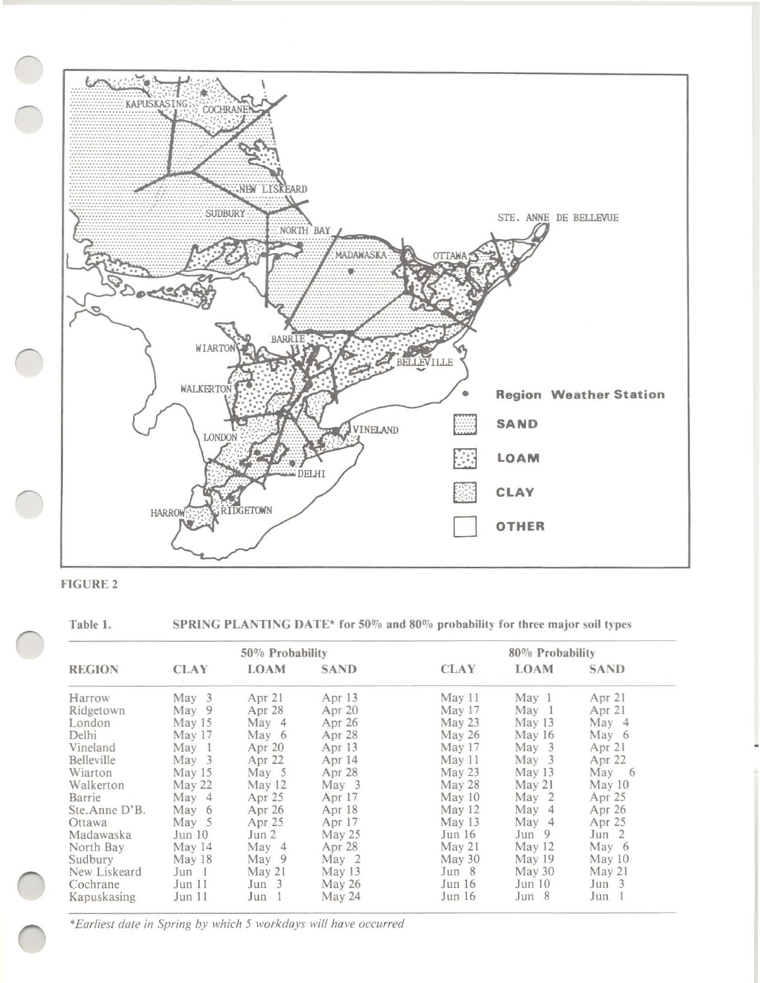



Table 1. SPRING PLANTING DATE\* for 50% and 80% probability for three major soil types

| <b>REGION</b> | $50\%$ Probability |          |                   | 80% Probability |                   |                   |
|---------------|--------------------|----------|-------------------|-----------------|-------------------|-------------------|
|               | <b>CLAY</b>        | LOAM     | <b>SAND</b>       | <b>CLAY</b>     | <b>LOAM</b>       | <b>SAND</b>       |
| Harrow        | May 3              | Apr 21   | Apr 13            | May 11          | May <sub>1</sub>  | Apr 21            |
| Ridgetown     | May 9              | Apr 28   | Apr <sub>20</sub> | May 17          | May <sub>1</sub>  | Apr 21            |
| London        | May 15             | May 4    | Apr 26            | May 23          | May 13            | May 4             |
| Delhi         | May 17             | May 6    | Apr 28            | May 26          | May $16$          | May 6             |
| Vineland      | May 1              | Apr $20$ | Apr 13            | May 17          | May <sub>3</sub>  | Apr 21            |
| Belleville    | May <sub>3</sub>   | Apr 22   | Apr 14            | May 11          | $\text{Mav}$ 3    | Apr <sub>22</sub> |
| Wiarton       | May 15             | May 5    | Apr 28            | May 23          | May $13$          | May 6             |
| Walkerton     | May 22             | May 12   | May 3             | May 28          | May 21            | May 10            |
| Barrie        | May 4              | Apr 25   | Apr $17$          | May 10          | May <sub>2</sub>  | Apr 25            |
| Ste.Anne D'B. | May 6              | Apr 26   | Apr 18            | May 12          | May 4             | Apr 26            |
| Ottawa        | May 5              | Apr 25   | Apr 17            | May 13          | May 4             | Apr 25            |
| Madawaska     | Jun 10             | Jun 2    | May 25            | Jun 16          | Jun 9             | Jun 2             |
| North Bay     | May 14             | May 4    | Apr 28            | May 21          | $M$ ay 12         | May 6             |
| Sudbury       | May 18             | May 9    | May 2             | May 30          | May <sub>19</sub> | May 10            |
| New Liskeard  | Jun 1              | May 21   | May $13$          | Jun 8           | May 30            | May 21            |
| Cochrane      | Jun 11             | Jun 3    | May 26            | Jun 16          | Jun 10            | Jun 3             |
| Kapuskasing   | Jun 11             | Jun 1    | May 24            | Jun 16          | Jun 8             | Jun 1             |

*'Earliest date in Spring by which* 5 *workdays will have occurred*